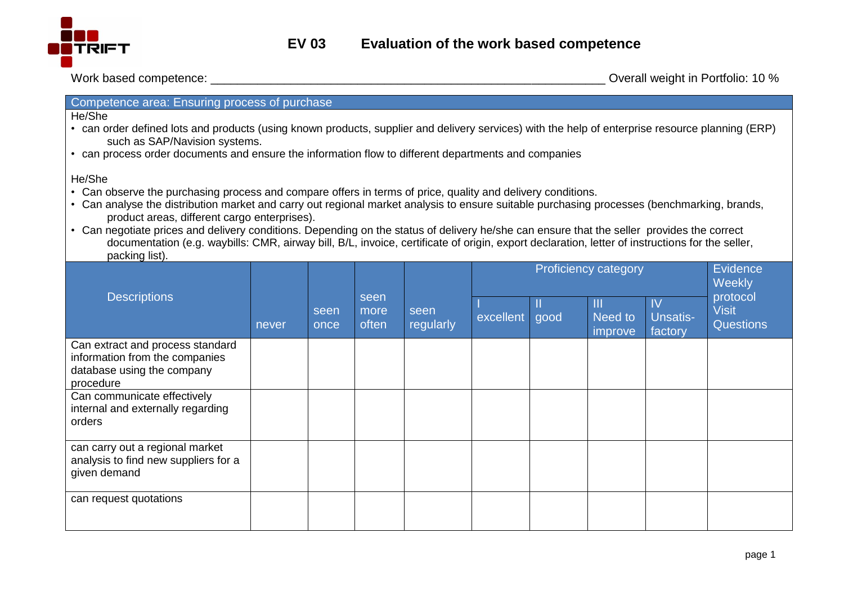

Work based competence:  $\blacksquare$ 

## Competence area: Ensuring process of purchase

He/She

- can order defined lots and products (using known products, supplier and delivery services) with the help of enterprise resource planning (ERP) such as SAP/Navision systems.
- can process order documents and ensure the information flow to different departments and companies

He/She

- Can observe the purchasing process and compare offers in terms of price, quality and delivery conditions.
- Can analyse the distribution market and carry out regional market analysis to ensure suitable purchasing processes (benchmarking, brands, product areas, different cargo enterprises).
- Can negotiate prices and delivery conditions. Depending on the status of delivery he/she can ensure that the seller provides the correct documentation (e.g. waybills: CMR, airway bill, B/L, invoice, certificate of origin, export declaration, letter of instructions for the seller, packing list).

| <b>Descriptions</b>                                                                                           | never | seen<br>once | seen<br>more<br>often | seen<br>regularly | <b>Proficiency category</b> |      |                         |                           | Evidence<br>Weekly                           |
|---------------------------------------------------------------------------------------------------------------|-------|--------------|-----------------------|-------------------|-----------------------------|------|-------------------------|---------------------------|----------------------------------------------|
|                                                                                                               |       |              |                       |                   | excellent                   | good | Ш<br>Need to<br>improve | IV<br>Unsatis-<br>factory | protocol<br><b>Visit</b><br><b>Questions</b> |
| Can extract and process standard<br>information from the companies<br>database using the company<br>procedure |       |              |                       |                   |                             |      |                         |                           |                                              |
| Can communicate effectively<br>internal and externally regarding<br>orders                                    |       |              |                       |                   |                             |      |                         |                           |                                              |
| can carry out a regional market<br>analysis to find new suppliers for a<br>given demand                       |       |              |                       |                   |                             |      |                         |                           |                                              |
| can request quotations                                                                                        |       |              |                       |                   |                             |      |                         |                           |                                              |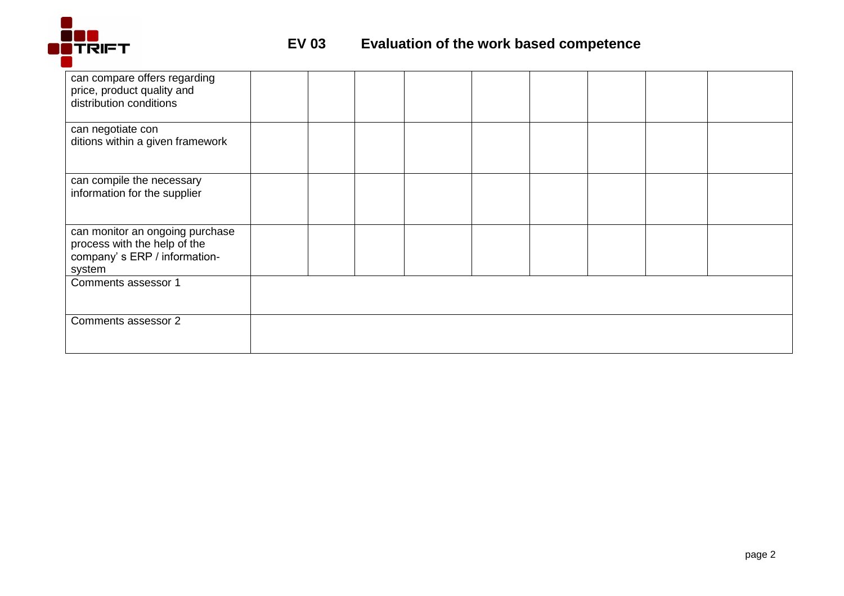

| can compare offers regarding<br>price, product quality and<br>distribution conditions                     |  |  |  |  |  |
|-----------------------------------------------------------------------------------------------------------|--|--|--|--|--|
| can negotiate con<br>ditions within a given framework                                                     |  |  |  |  |  |
| can compile the necessary<br>information for the supplier                                                 |  |  |  |  |  |
| can monitor an ongoing purchase<br>process with the help of the<br>company's ERP / information-<br>system |  |  |  |  |  |
| Comments assessor 1                                                                                       |  |  |  |  |  |
| Comments assessor 2                                                                                       |  |  |  |  |  |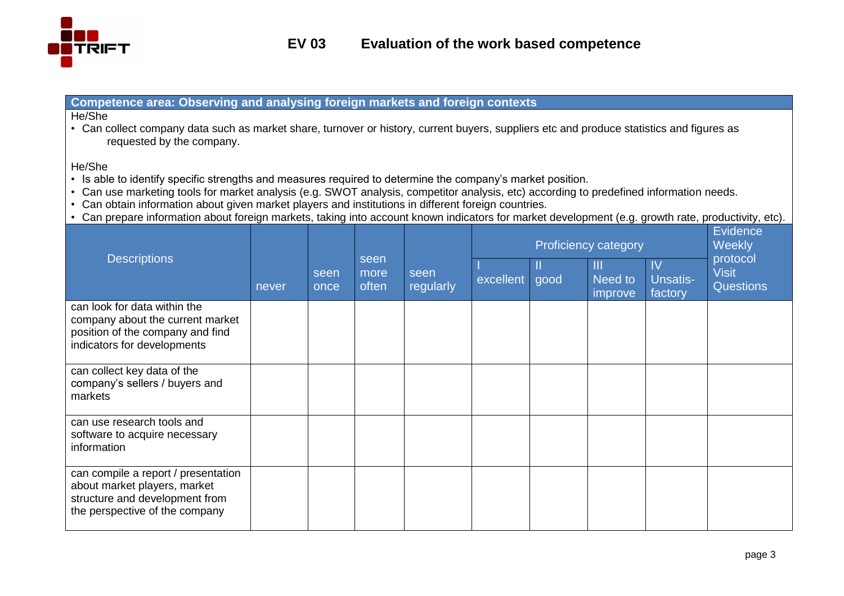

## **Competence area: Observing and analysing foreign markets and foreign contexts**

#### He/She

• Can collect company data such as market share, turnover or history, current buyers, suppliers etc and produce statistics and figures as requested by the company.

### He/She

- Is able to identify specific strengths and measures required to determine the company's market position.
- Can use marketing tools for market analysis (e.g. SWOT analysis, competitor analysis, etc) according to predefined information needs.
- Can obtain information about given market players and institutions in different foreign countries.
- Can prepare information about foreign markets, taking into account known indicators for market development (e.g. growth rate, productivity, etc).

| <b>Descriptions</b>                                                                                                                     | never | seen<br>once | seen<br>more<br>often | seen<br>regularly | <b>Proficiency category</b> |      |                         |                                      | Evidence<br>Weekly                           |
|-----------------------------------------------------------------------------------------------------------------------------------------|-------|--------------|-----------------------|-------------------|-----------------------------|------|-------------------------|--------------------------------------|----------------------------------------------|
|                                                                                                                                         |       |              |                       |                   | excellent                   | good | Ш<br>Need to<br>improve | $\mathsf{IV}$<br>Unsatis-<br>factory | protocol<br><b>Visit</b><br><b>Questions</b> |
| can look for data within the<br>company about the current market<br>position of the company and find<br>indicators for developments     |       |              |                       |                   |                             |      |                         |                                      |                                              |
| can collect key data of the<br>company's sellers / buyers and<br>markets                                                                |       |              |                       |                   |                             |      |                         |                                      |                                              |
| can use research tools and<br>software to acquire necessary<br>information                                                              |       |              |                       |                   |                             |      |                         |                                      |                                              |
| can compile a report / presentation<br>about market players, market<br>structure and development from<br>the perspective of the company |       |              |                       |                   |                             |      |                         |                                      |                                              |